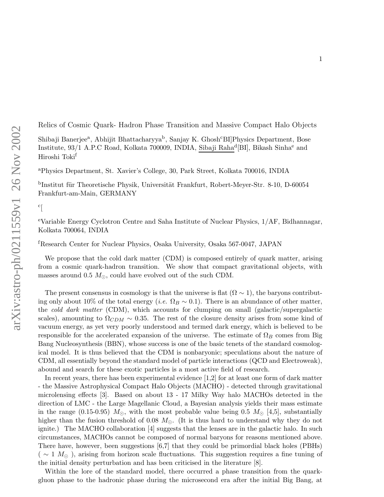Relics of Cosmic Quark- Hadron Phase Transition and Massive Compact Halo Objects

Shibaji Banerjee<sup>a</sup>, Abhijit Bhattacharyya<sup>b</sup>, Sanjay K. Ghosh<sup>c</sup>BI]Physics Department, Bose Institute, 93/1 A.P.C Road, Kolkata 700009, INDIA, Sibaji Raha d [BI], Bikash Sinha <sup>e</sup> and Hiroshi Toki f

<sup>a</sup>Physics Department, St. Xavier's College, 30, Park Street, Kolkata 700016, INDIA

<sup>b</sup>Institut für Theoretische Physik, Universität Frankfurt, Robert-Meyer-Str. 8-10, D-60054 Frankfurt-am-Main, GERMANY

## $c$ [

<sup>e</sup>Variable Energy Cyclotron Centre and Saha Institute of Nuclear Physics, 1/AF, Bidhannagar, Kolkata 700064, INDIA

<sup>f</sup>Research Center for Nuclear Physics, Osaka University, Osaka 567-0047, JAPAN

We propose that the cold dark matter (CDM) is composed entirely of quark matter, arising from a cosmic quark-hadron transition. We show that compact gravitational objects, with masses around 0.5  $M_{\odot}$ , could have evolved out of the such CDM.

The present consensus in cosmology is that the universe is flat  $(\Omega \sim 1)$ , the baryons contributing only about 10% of the total energy (i.e.  $\Omega_B \sim 0.1$ ). There is an abundance of other matter, the cold dark matter (CDM), which accounts for clumping on small (galactic/supergalactic scales), amounting to  $\Omega_{CDM} \sim 0.35$ . The rest of the closure density arises from some kind of vacuum energy, as yet very poorly understood and termed dark energy, which is believed to be responsible for the accelerated expansion of the universe. The estimate of  $\Omega_B$  comes from Big Bang Nucleosynthesis (BBN), whose success is one of the basic tenets of the standard cosmological model. It is thus believed that the CDM is nonbaryonic; speculations about the nature of CDM, all essentially beyond the standard model of particle interactions (QCD and Electroweak), abound and search for these exotic particles is a most active field of research.

In recent years, there has been experimental evidence [1,2] for at least one form of dark matter - the Massive Astrophysical Compact Halo Objects (MACHO) - detected through gravitational microlensing effects [3]. Based on about 13 - 17 Milky Way halo MACHOs detected in the direction of LMC - the Large Magellanic Cloud, a Bayesian analysis yields their mass estimate in the range (0.15-0.95)  $M_{\odot}$ , with the most probable value being 0.5  $M_{\odot}$  [4,5], substantially higher than the fusion threshold of 0.08  $M_{\odot}$ . (It is thus hard to understand why they do not ignite.) The MACHO collaboration [4] suggests that the lenses are in the galactic halo. In such circumstances, MACHOs cannot be composed of normal baryons for reasons mentioned above. There have, however, been suggestions [6,7] that they could be primordial black holes (PBHs) (  $\sim$  1  $M_{\odot}$ ), arising from horizon scale fluctuations. This suggestion requires a fine tuning of the initial density perturbation and has been criticised in the literature [8].

Within the lore of the standard model, there occurred a phase transition from the quarkgluon phase to the hadronic phase during the microsecond era after the initial Big Bang, at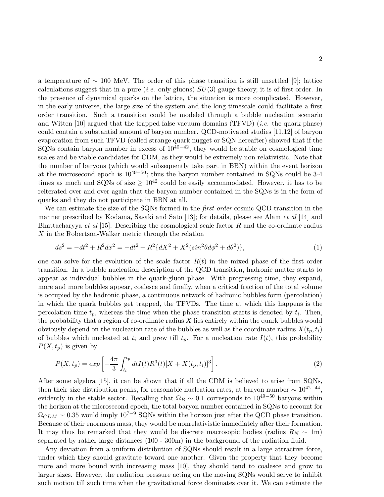a temperature of ∼ 100 MeV. The order of this phase transition is still unsettled [9]; lattice calculations suggest that in a pure (*i.e.* only gluons)  $SU(3)$  gauge theory, it is of first order. In the presence of dynamical quarks on the lattice, the situation is more complicated. However, in the early universe, the large size of the system and the long timescale could facilitate a first order transition. Such a transition could be modeled through a bubble nucleation scenario and Witten  $[10]$  argued that the trapped false vacuum domains  $(TFVD)$  (*i.e.* the quark phase) could contain a substantial amount of baryon number. QCD-motivated studies [11,12] of baryon evaporation from such TFVD (called strange quark nugget or SQN hereafter) showed that if the SQNs contain baryon number in excess of  $10^{40-42}$ , they would be stable on cosmological time scales and be viable candidates for CDM, as they would be extremely non-relativistic. Note that the number of baryons (which would subsequently take part in BBN) within the event horizon at the microsecond epoch is  $10^{49-50}$ ; thus the baryon number contained in SQNs could be 3-4 times as much and SQNs of size  $\geq 10^{42}$  could be easily accommodated. However, it has to be reiterated over and over again that the baryon number contained in the SQNs is in the form of quarks and they do not participate in BBN at all.

We can estimate the size of the SQNs formed in the *first order* cosmic QCD transition in the manner prescribed by Kodama, Sasaki and Sato [13]; for details, please see Alam *et al* [14] and Bhattacharyya et al [15]. Describing the cosmological scale factor  $R$  and the co-ordinate radius  $X$  in the Robertson-Walker metric through the relation

$$
ds^{2} = -dt^{2} + R^{2}dx^{2} = -dt^{2} + R^{2}\{dX^{2} + X^{2}(sin^{2}\theta d\phi^{2} + d\theta^{2})\},
$$
\n(1)

one can solve for the evolution of the scale factor  $R(t)$  in the mixed phase of the first order transition. In a bubble nucleation description of the QCD transition, hadronic matter starts to appear as individual bubbles in the quark-gluon phase. With progressing time, they expand, more and more bubbles appear, coalesce and finally, when a critical fraction of the total volume is occupied by the hadronic phase, a continuous network of hadronic bubbles form (percolation) in which the quark bubbles get trapped, the TFVDs. The time at which this happens is the percolation time  $t_p$ , whereas the time when the phase transition starts is denoted by  $t_i$ . Then, the probability that a region of co-ordinate radius  $X$  lies entirely within the quark bubbles would obviously depend on the nucleation rate of the bubbles as well as the coordinate radius  $X(t_p, t_i)$ of bubbles which nucleated at  $t_i$  and grew till  $t_p$ . For a nucleation rate  $I(t)$ , this probability  $P(X, t_p)$  is given by

$$
P(X,t_p) = exp\left[-\frac{4\pi}{3} \int_{t_i}^{t_p} dt I(t) R^3(t) [X + X(t_p, t_i)]^3\right].
$$
\n(2)

After some algebra [15], it can be shown that if all the CDM is believed to arise from SQNs, then their size distribution peaks, for reasonable nucleation rates, at baryon number  $\sim 10^{42-44}$ , evidently in the stable sector. Recalling that  $\Omega_B \sim 0.1$  corresponds to 10<sup>49–50</sup> baryons within the horizon at the microsecond epoch, the total baryon number contained in SQNs to account for  $\Omega_{CDM} \sim 0.35$  would imply  $10^{7-\frac{1}{9}}$  SQNs within the horizon just after the QCD phase transition. Because of their enormous mass, they would be nonrelativistic immediately after their formation. It may thus be remarked that they would be discrete macrosopic bodies (radius  $R_N \sim 1$ m) separated by rather large distances (100 - 300m) in the background of the radiation fluid.

Any deviation from a uniform distribution of SQNs should result in a large attractive force, under which they should gravitate toward one another. Given the property that they become more and more bound with increasing mass [10], they should tend to coalesce and grow to larger sizes. However, the radiation pressure acting on the moving SQNs would serve to inhibit such motion till such time when the gravitational force dominates over it. We can estimate the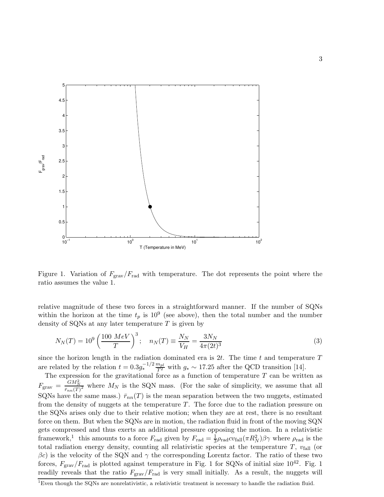

Figure 1. Variation of  $F_{\text{grav}}/F_{\text{rad}}$  with temperature. The dot represents the point where the ratio assumes the value 1.

relative magnitude of these two forces in a straightforward manner. If the number of SQNs within the horizon at the time  $t_p$  is  $10^9$  (see above), then the total number and the number density of SQNs at any later temperature  $T$  is given by

$$
N_N(T) = 10^9 \left(\frac{100 \; MeV}{T}\right)^3; \quad n_N(T) \equiv \frac{N_N}{V_H} = \frac{3N_N}{4\pi (2t)^3}
$$
(3)

since the horizon length in the radiation dominated era is  $2t$ . The time t and temperature T are related by the relation  $t = 0.3g_*^{-1/2} \frac{m_{pl}}{T^2}$  with  $g_* \sim 17.25$  after the QCD transition [14].

The expression for the gravitational force as a function of temperature  $T$  can be written as  $F_{\text{grav}} = \frac{GM_N^2}{\bar{r}_{nn}(T)^2}$  where  $M_N$  is the SQN mass. (For the sake of simplicity, we assume that all SQNs have the same mass.)  $\bar{r}_{nn}(T)$  is the mean separation between the two nuggets, estimated from the density of nuggets at the temperature  $T$ . The force due to the radiation pressure on the SQNs arises only due to their relative motion; when they are at rest, there is no resultant force on them. But when the SQNs are in motion, the radiation fluid in front of the moving SQN gets compressed and thus exerts an additional pressure opposing the motion. In a relativistic framework,<sup>1</sup> this amounts to a force  $F_{\text{rad}}$  given by  $F_{\text{rad}} = \frac{1}{3} \rho_{\text{rad}} cv_{\text{fall}}(\pi R_N^2) \beta \gamma$  where  $\rho_{\text{rad}}$  is the total radiation energy density, counting all relativistic species at the temperature  $T$ ,  $v_{fall}$  (or  $\beta c$ ) is the velocity of the SQN and  $\gamma$  the corresponding Lorentz factor. The ratio of these two forces,  $F_{\text{grav}}/F_{\text{rad}}$  is plotted against temperature in Fig. 1 for SQNs of initial size  $10^{42}$ . Fig. 1 readily reveals that the ratio  $F_{\text{grav}}/F_{\text{rad}}$  is very small initially. As a result, the nuggets will

<sup>&</sup>lt;sup>1</sup>Even though the SQNs are nonrelativistic, a relativistic treatment is necessary to handle the radiation fluid.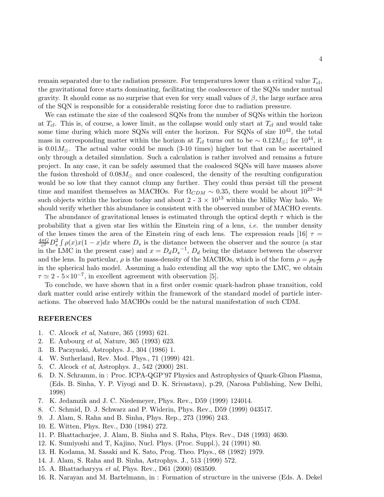remain separated due to the radiation pressure. For temperatures lower than a critical value  $T_{\text{cl}}$ , the gravitational force starts dominating, facilitating the coalescence of the SQNs under mutual gravity. It should come as no surprise that even for very small values of  $\beta$ , the large surface area of the SQN is responsible for a considerable resisting force due to radiation pressure.

We can estimate the size of the coalesced SQNs from the number of SQNs within the horizon at  $T_{cl}$ . This is, of course, a lower limit, as the collapse would only start at  $T_{cl}$  and would take some time during which more SQNs will enter the horizon. For SQNs of size  $10^{42}$ , the total mass in corresponding matter within the horizon at  $T_{cl}$  turns out to be ~ 0.12 $M_{\odot}$ ; for 10<sup>44</sup>, it is 0.01 $M_{\odot}$ . The actual value could be much (3-10 times) higher but that can be ascertained only through a detailed simulation. Such a calculation is rather involved and remains a future project. In any case, it can be safely assumed that the coalesced SQNs will have masses above the fusion threshold of  $0.08M_{\odot}$  and once coalesced, the density of the resulting configuration would be so low that they cannot clump any further. They could thus persist till the present time and manifest themselves as MACHOs. For  $\Omega_{CDM} \sim 0.35$ , there would be about  $10^{23-24}$ such objects within the horizon today and about  $2 - 3 \times 10^{13}$  within the Milky Way halo. We should verify whether this abundance is consistent with the observed number of MACHO events.

The abundance of gravitational lenses is estimated through the optical depth  $\tau$  which is the probability that a given star lies within the Einstein ring of a lens, i.e. the number density of the lenses times the area of the Einstein ring of each lens. The expression reads [16]  $\tau =$  $4\pi G$  $\frac{\pi G}{c^2} D_s^2 \int \rho(x) x(1-x) dx$  where  $D_s$  is the distance between the observer and the source (a star in the LMC in the present case) and  $x = D_d D_s^{-1}$ ,  $D_d$  being the distance between the observer and the lens. In particular,  $\rho$  is the mass-density of the MACHOs, which is of the form  $\rho = \rho_0 \frac{1}{r^2}$  $r^2$ in the spherical halo model. Assuming a halo extending all the way upto the LMC, we obtain  $\tau \simeq 2$  -  $5\times10^{-7}$ , in excellent agreement with observation [5].

To conclude, we have shown that in a first order cosmic quark-hadron phase transition, cold dark matter could arise entirely within the framework of the standard model of particle interactions. The observed halo MACHOs could be the natural manifestation of such CDM.

## REFERENCES

- 1. C. Alcock et al, Nature, 365 (1993) 621.
- 2. E. Aubourg et al, Nature, 365 (1993) 623.
- 3. B. Paczynski, Astrophys. J., 304 (1986) 1.
- 4. W. Sutherland, Rev. Mod. Phys., 71 (1999) 421.
- 5. C. Alcock et al, Astrophys. J., 542 (2000) 281.
- 6. D. N. Schramm, in : Proc. ICPA-QGP'97 Physics and Astrophysics of Quark-Gluon Plasma, (Eds. B. Sinha, Y. P. Viyogi and D. K. Srivastava), p.29, (Narosa Publishing, New Delhi, 1998)
- 7. K. Jedamzik and J. C. Niedemeyer, Phys. Rev., D59 (1999) 124014.
- 8. C. Schmid, D. J. Schwarz and P. Widerin, Phys. Rev., D59 (1999) 043517.
- 9. J. Alam, S. Raha and B. Sinha, Phys. Rep., 273 (1996) 243.
- 10. E. Witten, Phys. Rev., D30 (1984) 272.
- 11. P. Bhattacharjee, J. Alam, B. Sinha and S. Raha, Phys. Rev., D48 (1993) 4630.
- 12. K. Sumiyoshi and T, Kajino, Nucl. Phys. (Proc. Suppl.), 24 (1991) 80.
- 13. H. Kodama, M. Sasaki and K. Sato, Prog. Theo. Phys., 68 (1982) 1979.
- 14. J. Alam, S. Raha and B. Sinha, Astrophys. J., 513 (1999) 572.
- 15. A. Bhattacharyya et al, Phys. Rev., D61 (2000) 083509.
- 16. R. Narayan and M. Bartelmann, in : Formation of structure in the universe (Eds. A. Dekel